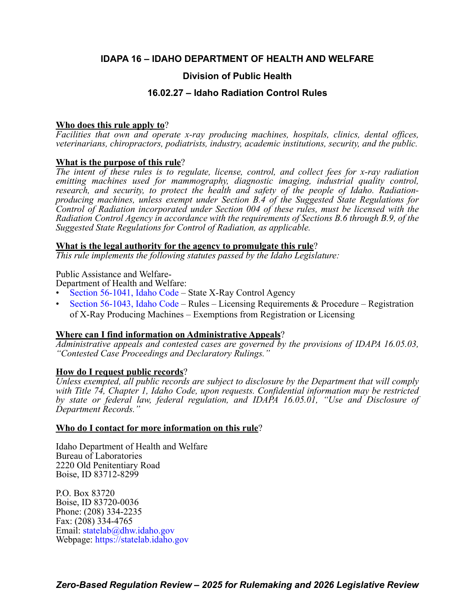# **IDAPA 16 – IDAHO DEPARTMENT OF HEALTH AND WELFARE**

# **Division of Public Health**

# **16.02.27 – Idaho Radiation Control Rules**

# **Who does this rule apply to**?

*Facilities that own and operate x-ray producing machines, hospitals, clinics, dental offices, veterinarians, chiropractors, podiatrists, industry, academic institutions, security, and the public.*

# **What is the purpose of this rule**?

*The intent of these rules is to regulate, license, control, and collect fees for x-ray radiation emitting machines used for mammography, diagnostic imaging, industrial quality control, research, and security, to protect the health and safety of the people of Idaho. Radiationproducing machines, unless exempt under Section B.4 of the Suggested State Regulations for Control of Radiation incorporated under Section 004 of these rules, must be licensed with the Radiation Control Agency in accordance with the requirements of Sections B.6 through B.9, of the Suggested State Regulations for Control of Radiation, as applicable.*

# **What is the legal authority for the agency to promulgate this rule**?

*This rule implements the following statutes passed by the Idaho Legislature:*

Public Assistance and Welfare-

Department of Health and Welfare:

- [Section 56-1041, Idaho Code –](https://legislature.idaho.gov/statutesrules/idstat/Title56/T56CH10/SECT56-1041/) State X-Ray Control Agency
- [Section 56-1043, Idaho Code](https://legislature.idaho.gov/statutesrules/idstat/Title56/T56CH10/SECT56-1043/)  Rules Licensing Requirements & Procedure Registration of X-Ray Producing Machines – Exemptions from Registration or Licensing

# **Where can I find information on Administrative Appeals**?

*Administrative appeals and contested cases are governed by the provisions of IDAPA 16.05.03, "Contested Case Proceedings and Declaratory Rulings."*

# **How do I request public records**?

*Unless exempted, all public records are subject to disclosure by the Department that will comply with Title 74, Chapter 1, Idaho Code, upon requests. Confidential information may be restricted by state or federal law, federal regulation, and IDAPA 16.05.01, "Use and Disclosure of Department Records."*

# **Who do I contact for more information on this rule**?

Idaho Department of Health and Welfare Bureau of Laboratories 2220 Old Penitentiary Road Boise, ID 83712-8299

P.O. Box 83720 Boise, ID 83720-0036 Phone: (208) 334-2235 Fax: (208) 334-4765 Email: [statelab@dhw.idaho.gov](mailto:statelab@dhw.idaho.gov) Webpage: <https://statelab.idaho.gov>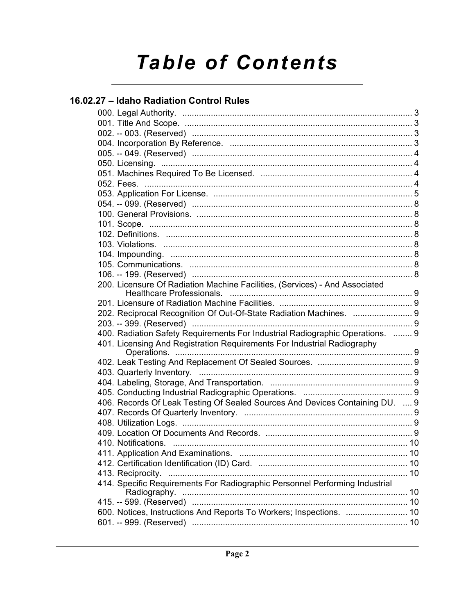# **Table of Contents**

# 16.02.27 - Idaho Radiation Control Rules

| 200. Licensure Of Radiation Machine Facilities, (Services) - And Associated   |  |
|-------------------------------------------------------------------------------|--|
|                                                                               |  |
| 202. Reciprocal Recognition Of Out-Of-State Radiation Machines.  9            |  |
|                                                                               |  |
| 400. Radiation Safety Requirements For Industrial Radiographic Operations.  9 |  |
| 401. Licensing And Registration Requirements For Industrial Radiography       |  |
|                                                                               |  |
|                                                                               |  |
|                                                                               |  |
|                                                                               |  |
|                                                                               |  |
| 406. Records Of Leak Testing Of Sealed Sources And Devices Containing DU.  9  |  |
|                                                                               |  |
|                                                                               |  |
|                                                                               |  |
|                                                                               |  |
| 411. Application And Examinations                                             |  |
|                                                                               |  |
|                                                                               |  |
| 414. Specific Requirements For Radiographic Personnel Performing Industrial   |  |
|                                                                               |  |
| 600. Notices, Instructions And Reports To Workers; Inspections.  10           |  |
|                                                                               |  |
|                                                                               |  |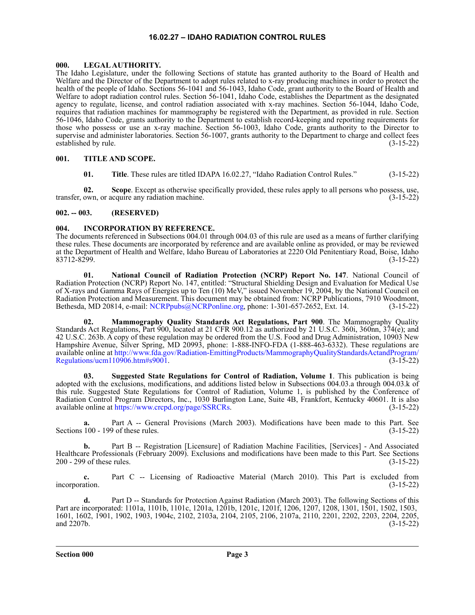### **16.02.27 – IDAHO RADIATION CONTROL RULES**

### <span id="page-2-1"></span><span id="page-2-0"></span>**000. LEGAL AUTHORITY.**

The Idaho Legislature, under the following Sections of statute has granted authority to the Board of Health and Welfare and the Director of the Department to adopt rules related to x-ray producing machines in order to protect the health of the people of Idaho. Sections 56-1041 and 56-1043, Idaho Code, grant authority to the Board of Health and Welfare to adopt radiation control rules. Section 56-1041, Idaho Code, establishes the Department as the designated agency to regulate, license, and control radiation associated with x-ray machines. Section 56-1044, Idaho Code, requires that radiation machines for mammography be registered with the Department, as provided in rule. Section 56-1046, Idaho Code, grants authority to the Department to establish record-keeping and reporting requirements for those who possess or use an x-ray machine. Section 56-1003, Idaho Code, grants authority to the Director to supervise and administer laboratories. Section 56-1007, grants authority to the Department to charge and collect fees established by rule. (3-15-22)

## <span id="page-2-2"></span>**001. TITLE AND SCOPE.**

**01. Title**. These rules are titled IDAPA 16.02.27, "Idaho Radiation Control Rules." (3-15-22)

**02. Scope**. Except as otherwise specifically provided, these rules apply to all persons who possess, use, transfer, own, or acquire any radiation machine. (3-15-22)

### <span id="page-2-3"></span>**002. -- 003. (RESERVED)**

## <span id="page-2-4"></span>**004. INCORPORATION BY REFERENCE.**

The documents referenced in Subsections 004.01 through 004.03 of this rule are used as a means of further clarifying these rules. These documents are incorporated by reference and are available online as provided, or may be reviewed at the Department of Health and Welfare, Idaho Bureau of Laboratories at 2220 Old Penitentiary Road, Boise, Idaho 83712-8299. (3-15-22)

**01. National Council of Radiation Protection (NCRP) Report No. 147**. National Council of Radiation Protection (NCRP) Report No. 147, entitled: "Structural Shielding Design and Evaluation for Medical Use of X-rays and Gamma Rays of Energies up to Ten (10) MeV," issued November 19, 2004, by the National Council on Radiation Protection and Measurement. This document may be obtained from: NCRP Publications, 7910 Woodmont, Bethesda, MD 20814, e-mail: [NCRPpubs@NCRPonline.org,](mailto:NCRPpubs@NCRPonline.org) phone: 1-301-657-2652, Ext. 14. (3-15-22)

**02. Mammography Quality Standards Act Regulations, Part 900**. The Mammography Quality Standards Act Regulations, Part 900, located at 21 CFR 900.12 as authorized by 21 U.S.C. 360i, 360nn, 374(e); and 42 U.S.C. 263b. A copy of these regulation may be ordered from the U.S. Food and Drug Administration, 10903 New Hampshire Avenue, Silver Spring, MD 20993, phone: 1-888-INFO-FDA (1-888-463-6332). These regulations are available online at [http://www.fda.gov/Radiation-EmittingProducts/MammographyQualityStandardsActandProgram/](http://www.fda.gov/Radiation-EmittingProducts/MammographyQualityStandardsActandProgram/Regulations/ucm110906.htm#s9001) [Regulations/ucm110906.htm#s9001](http://www.fda.gov/Radiation-EmittingProducts/MammographyQualityStandardsActandProgram/Regulations/ucm110906.htm#s9001). (3-15-22)

**03. Suggested State Regulations for Control of Radiation, Volume 1**. This publication is being adopted with the exclusions, modifications, and additions listed below in Subsections 004.03.a through 004.03.k of this rule. Suggested State Regulations for Control of Radiation, Volume 1, is published by the Conference of Radiation Control Program Directors, Inc., 1030 Burlington Lane, Suite 4B, Frankfort, Kentucky 40601. It is also available online at [https://www.crcpd.org/page/SSRCRs](http://www.crcpd.org/SSRCRs). (3-15-22)

**a.** Part A -- General Provisions (March 2003). Modifications have been made to this Part. See Sections 100 - 199 of these rules. (3-15-22)

**b.** Part B -- Registration [Licensure] of Radiation Machine Facilities, [Services] - And Associated Healthcare Professionals (February 2009). Exclusions and modifications have been made to this Part. See Sections 200 - 299 of these rules. (3-15-22) 200 - 299 of these rules.

**c.** Part C -- Licensing of Radioactive Material (March 2010). This Part is excluded from incorporation. (3-15-22)

**d.** Part D -- Standards for Protection Against Radiation (March 2003). The following Sections of this Part are incorporated: 1101a, 1101b, 1101c, 1201a, 1201b, 1201c, 1201f, 1206, 1207, 1208, 1301, 1501, 1502, 1503, 1601, 1602, 1901, 1902, 1903, 1904c, 2102, 2103a, 2104, 2105, 2106, 2107a, 2110, 2201, 2202, 2203, 2204, 2205, and 2207b.  $(3-15-22)$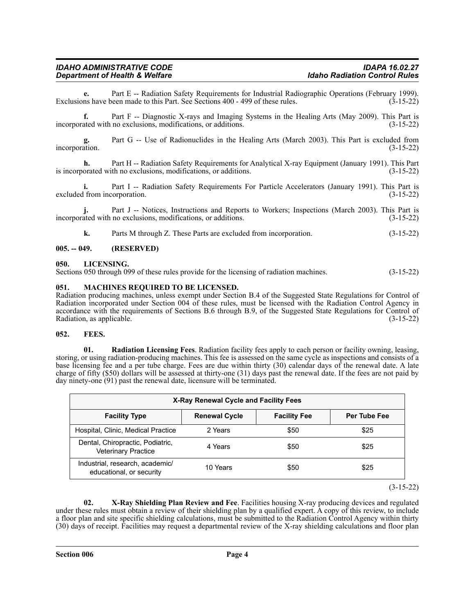# *IDAHO ADMINISTRATIVE CODE IDAPA 16.02.27 Department of Health & Welfare*

**e.** Part E -- Radiation Safety Requirements for Industrial Radiographic Operations (February 1999). ns have been made to this Part. See Sections 400 - 499 of these rules. (3-15-22) Exclusions have been made to this Part. See Sections 400 - 499 of these rules.

**f.** Part F -- Diagnostic X-rays and Imaging Systems in the Healing Arts (May 2009). This Part is incorporated with no exclusions, modifications, or additions. (3-15-22)

**g.** Part G -- Use of Radionuclides in the Healing Arts (March 2003). This Part is excluded from incorporation. (3-15-22)

**h.** Part H -- Radiation Safety Requirements for Analytical X-ray Equipment (January 1991). This Part is incorporated with no exclusions, modifications, or additions. (3-15-22)

**i.** Part I -- Radiation Safety Requirements For Particle Accelerators (January 1991). This Part is excluded from incorporation. (3-15-22)

Part J -- Notices, Instructions and Reports to Workers; Inspections (March 2003). This Part is no exclusions, modifications, or additions. (3-15-22) incorporated with no exclusions, modifications, or additions.

**k.** Parts M through Z. These Parts are excluded from incorporation. (3-15-22)

### <span id="page-3-0"></span>**005. -- 049. (RESERVED)**

### <span id="page-3-1"></span>**050. LICENSING.**

Sections 050 through 099 of these rules provide for the licensing of radiation machines. (3-15-22)

### <span id="page-3-2"></span>**051. MACHINES REQUIRED TO BE LICENSED.**

Radiation producing machines, unless exempt under Section B.4 of the Suggested State Regulations for Control of Radiation incorporated under Section 004 of these rules, must be licensed with the Radiation Control Agency in accordance with the requirements of Sections B.6 through B.9, of the Suggested State Regulations for Control of Radiation, as applicable. (3-15-22)

### <span id="page-3-3"></span>**052. FEES.**

**01. Radiation Licensing Fees**. Radiation facility fees apply to each person or facility owning, leasing, storing, or using radiation-producing machines. This fee is assessed on the same cycle as inspections and consists of a base licensing fee and a per tube charge. Fees are due within thirty (30) calendar days of the renewal date. A late charge of fifty (\$50) dollars will be assessed at thirty-one (31) days past the renewal date. If the fees are not paid by day ninety-one (91) past the renewal date, licensure will be terminated.

| X-Ray Renewal Cycle and Facility Fees                          |                      |                     |                     |  |  |
|----------------------------------------------------------------|----------------------|---------------------|---------------------|--|--|
| <b>Facility Type</b>                                           | <b>Renewal Cycle</b> | <b>Facility Fee</b> | <b>Per Tube Fee</b> |  |  |
| Hospital, Clinic, Medical Practice                             | 2 Years              | \$50                | \$25                |  |  |
| Dental, Chiropractic, Podiatric,<br><b>Veterinary Practice</b> | 4 Years              | \$50                | \$25                |  |  |
| Industrial, research, academic/<br>educational, or security    | 10 Years             | \$50                | \$25                |  |  |

(3-15-22)

**02. X-Ray Shielding Plan Review and Fee**. Facilities housing X-ray producing devices and regulated under these rules must obtain a review of their shielding plan by a qualified expert. A copy of this review, to include a floor plan and site specific shielding calculations, must be submitted to the Radiation Control Agency within thirty (30) days of receipt. Facilities may request a departmental review of the X-ray shielding calculations and floor plan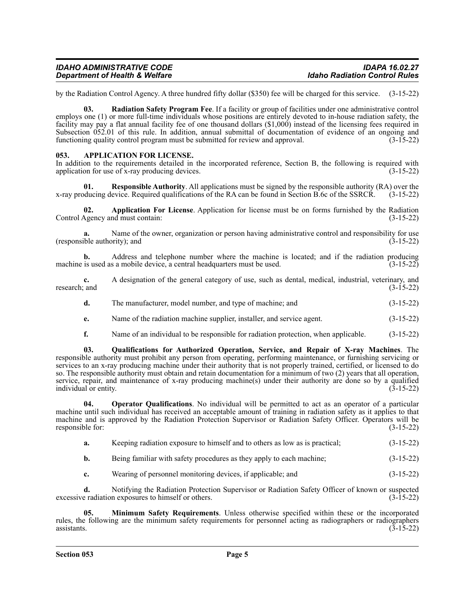| <b>IDAHO ADMINISTRATIVE CODE</b>          | <b>IDAPA 16.02.27</b>                |
|-------------------------------------------|--------------------------------------|
| <b>Department of Health &amp; Welfare</b> | <b>Idaho Radiation Control Rules</b> |

by the Radiation Control Agency. A three hundred fifty dollar (\$350) fee will be charged for this service. (3-15-22)

**03. Radiation Safety Program Fee**. If a facility or group of facilities under one administrative control employs one (1) or more full-time individuals whose positions are entirely devoted to in-house radiation safety, the facility may pay a flat annual facility fee of one thousand dollars (\$1,000) instead of the licensing fees required in Subsection 052.01 of this rule. In addition, annual submittal of documentation of evidence of an ongoing and functioning quality control program must be submitted for review and approval. (3-15-22) functioning quality control program must be submitted for review and approval.

### <span id="page-4-0"></span>**053. APPLICATION FOR LICENSE.**

In addition to the requirements detailed in the incorporated reference, Section B, the following is required with application for use of x-ray producing devices.  $(3-15-22)$ 

**01. Responsible Authority**. All applications must be signed by the responsible authority (RA) over the x-ray producing device. Required qualifications of the RA can be found in Section B.6c of the SSRCR. (3-15-22)

**02. Application For License**. Application for license must be on forms furnished by the Radiation Agency and must contain: (3-15-22) Control Agency and must contain:

Name of the owner, organization or person having administrative control and responsibility for use<br>(3-15-22) rity): and (responsible authority); and

**b.** Address and telephone number where the machine is located; and if the radiation producing is used as a mobile device, a central headquarters must be used. (3-15-22) machine is used as a mobile device, a central headquarters must be used.

|               | A designation of the general category of use, such as dental, medical, industrial, veterinary, and |  |  |  |  |             |  |
|---------------|----------------------------------------------------------------------------------------------------|--|--|--|--|-------------|--|
| research: and |                                                                                                    |  |  |  |  | $(3-15-22)$ |  |
|               |                                                                                                    |  |  |  |  |             |  |

- **d.** The manufacturer, model number, and type of machine; and (3-15-22)
- **e.** Name of the radiation machine supplier, installer, and service agent. (3-15-22)
- **f.** Name of an individual to be responsible for radiation protection, when applicable. (3-15-22)

**03. Qualifications for Authorized Operation, Service, and Repair of X-ray Machines**. The responsible authority must prohibit any person from operating, performing maintenance, or furnishing servicing or services to an x-ray producing machine under their authority that is not properly trained, certified, or licensed to do so. The responsible authority must obtain and retain documentation for a minimum of two (2) years that all operation, service, repair, and maintenance of x-ray producing machine(s) under their authority are done so by a qualified individual or entity. (3-15-22)

**04. Operator Qualifications**. No individual will be permitted to act as an operator of a particular machine until such individual has received an acceptable amount of training in radiation safety as it applies to that machine and is approved by the Radiation Protection Supervisor or Radiation Safety Officer. Operators will be responsible for: (3-15-22)

| a. | Keeping radiation exposure to himself and to others as low as is practical. |  |  | $(3-15-22)$ |
|----|-----------------------------------------------------------------------------|--|--|-------------|
|----|-----------------------------------------------------------------------------|--|--|-------------|

**b.** Being familiar with safety procedures as they apply to each machine; (3-15-22)

**c.** Wearing of personnel monitoring devices, if applicable; and (3-15-22)

**d.** Notifying the Radiation Protection Supervisor or Radiation Safety Officer of known or suspected radiation exposures to himself or others. excessive radiation exposures to himself or others.

**05. Minimum Safety Requirements**. Unless otherwise specified within these or the incorporated rules, the following are the minimum safety requirements for personnel acting as radiographers or radiographers assistants.  $(3-15-22)$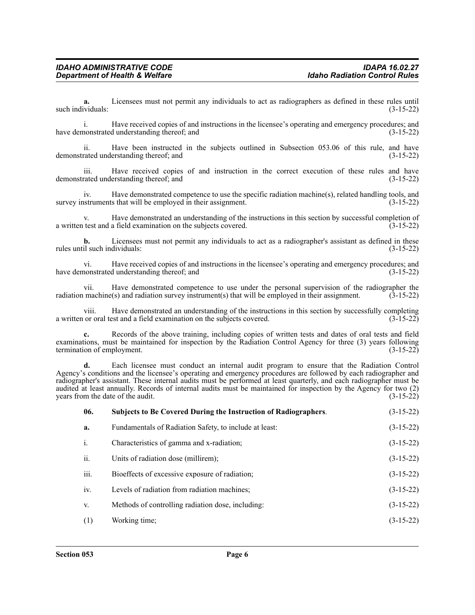**a.** Licensees must not permit any individuals to act as radiographers as defined in these rules until such individuals: (3-15-22)

i. Have received copies of and instructions in the licensee's operating and emergency procedures; and have demonstrated understanding thereof; and  $(3-15-22)$ 

ii. Have been instructed in the subjects outlined in Subsection 053.06 of this rule, and have demonstrated understanding thereof; and (3-15-22)

iii. Have received copies of and instruction in the correct execution of these rules and have demonstrated understanding thereof; and (3-15-22)

iv. Have demonstrated competence to use the specific radiation machine(s), related handling tools, and survey instruments that will be employed in their assignment. (3-15-22)

v. Have demonstrated an understanding of the instructions in this section by successful completion of a written test and a field examination on the subjects covered. (3-15-22)

**b.** Licensees must not permit any individuals to act as a radiographer's assistant as defined in these rules until such individuals: (3-15-22)

vi. Have received copies of and instructions in the licensee's operating and emergency procedures; and have demonstrated understanding thereof; and  $(3-15-22)$ 

vii. Have demonstrated competence to use under the personal supervision of the radiographer the radiation machine(s) and radiation survey instrument(s) that will be employed in their assignment.  $(3-15-22)$ 

viii. Have demonstrated an understanding of the instructions in this section by successfully completing a written or oral test and a field examination on the subjects covered. (3-15-22)

**c.** Records of the above training, including copies of written tests and dates of oral tests and field examinations, must be maintained for inspection by the Radiation Control Agency for three (3) years following termination of employment. (3-15-22)

**d.** Each licensee must conduct an internal audit program to ensure that the Radiation Control Agency's conditions and the licensee's operating and emergency procedures are followed by each radiographer and radiographer's assistant. These internal audits must be performed at least quarterly, and each radiographer must be audited at least annually. Records of internal audits must be maintained for inspection by the Agency for two (2) years from the date of the audit. (3-15-22) years from the date of the audit.

| 06.            | <b>Subjects to Be Covered During the Instruction of Radiographers.</b> | $(3-15-22)$ |
|----------------|------------------------------------------------------------------------|-------------|
| a.             | Fundamentals of Radiation Safety, to include at least:                 | $(3-15-22)$ |
| $\mathbf{i}$ . | Characteristics of gamma and x-radiation;                              | $(3-15-22)$ |
| ii.            | Units of radiation dose (millirem);                                    | $(3-15-22)$ |
| iii.           | Bioeffects of excessive exposure of radiation;                         | $(3-15-22)$ |
| iv.            | Levels of radiation from radiation machines;                           | $(3-15-22)$ |
| V.             | Methods of controlling radiation dose, including:                      | $(3-15-22)$ |
| (1)            | Working time;                                                          | $(3-15-22)$ |
|                |                                                                        |             |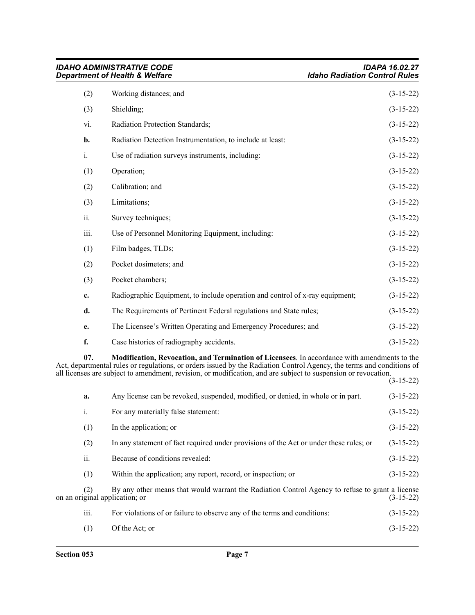|                | <b>IDAHO ADMINISTRATIVE CODE</b><br><b>Department of Health &amp; Welfare</b> | <b>IDAPA 16.02.27</b><br><b>Idaho Radiation Control Rules</b> |
|----------------|-------------------------------------------------------------------------------|---------------------------------------------------------------|
| (2)            | Working distances; and                                                        | $(3-15-22)$                                                   |
| (3)            | Shielding;                                                                    | $(3-15-22)$                                                   |
| vi.            | Radiation Protection Standards;                                               | $(3-15-22)$                                                   |
| b.             | Radiation Detection Instrumentation, to include at least:                     | $(3-15-22)$                                                   |
| $\mathbf{i}$ . | Use of radiation surveys instruments, including:                              | $(3-15-22)$                                                   |
| (1)            | Operation;                                                                    | $(3-15-22)$                                                   |
| (2)            | Calibration; and                                                              | $(3-15-22)$                                                   |
| (3)            | Limitations;                                                                  | $(3-15-22)$                                                   |
| ii.            | Survey techniques;                                                            | $(3-15-22)$                                                   |
| iii.           | Use of Personnel Monitoring Equipment, including:                             | $(3-15-22)$                                                   |
| (1)            | Film badges, TLDs;                                                            | $(3-15-22)$                                                   |
| (2)            | Pocket dosimeters; and                                                        | $(3-15-22)$                                                   |
| (3)            | Pocket chambers;                                                              | $(3-15-22)$                                                   |
| c.             | Radiographic Equipment, to include operation and control of x-ray equipment;  | $(3-15-22)$                                                   |
| d.             | The Requirements of Pertinent Federal regulations and State rules;            | $(3-15-22)$                                                   |
| e.             | The Licensee's Written Operating and Emergency Procedures; and                | $(3-15-22)$                                                   |
| f.             | Case histories of radiography accidents.                                      | $(3-15-22)$                                                   |
|                |                                                                               |                                                               |

**07. Modification, Revocation, and Termination of Licensees**. In accordance with amendments to the Act, departmental rules or regulations, or orders issued by the Radiation Control Agency, the terms and conditions of all licenses are subject to amendment, revision, or modification, and are subject to suspension or revocation.

|      |                                                                                                                                   | $(3-15-22)$ |
|------|-----------------------------------------------------------------------------------------------------------------------------------|-------------|
| a.   | Any license can be revoked, suspended, modified, or denied, in whole or in part.                                                  | $(3-15-22)$ |
| i.   | For any materially false statement:                                                                                               | $(3-15-22)$ |
| (1)  | In the application; or                                                                                                            | $(3-15-22)$ |
| (2)  | In any statement of fact required under provisions of the Act or under these rules; or                                            | $(3-15-22)$ |
| ii.  | Because of conditions revealed:                                                                                                   | $(3-15-22)$ |
| (1)  | Within the application; any report, record, or inspection; or                                                                     | $(3-15-22)$ |
| (2)  | By any other means that would warrant the Radiation Control Agency to refuse to grant a license<br>on an original application; or | $(3-15-22)$ |
| iii. | For violations of or failure to observe any of the terms and conditions:                                                          | $(3-15-22)$ |
| (1)  | Of the Act; or                                                                                                                    | $(3-15-22)$ |
|      |                                                                                                                                   |             |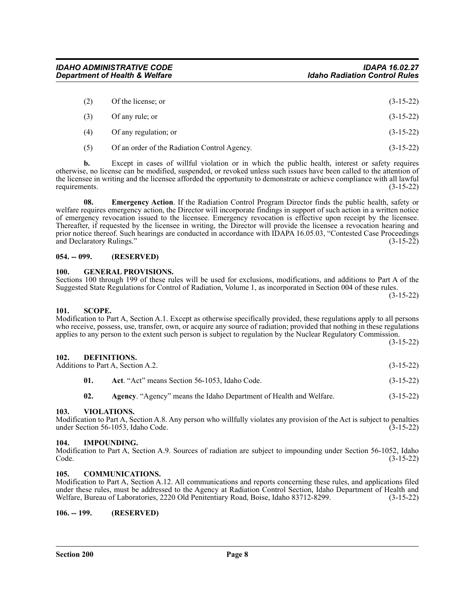<span id="page-7-7"></span>

<span id="page-7-6"></span>**105. COMMUNICATIONS.**

**02. Agency**. "Agency" means the Idaho Department of Health and Welfare. (3-15-22)

<span id="page-7-4"></span>**103. VIOLATIONS.**

Modification to Part A, Section A.8. Any person who willfully violates any provision of the Act is subject to penalties under Section 56-1053, Idaho Code. (3-15-22) under Section 56-1053, Idaho Code.

<span id="page-7-5"></span>**104. IMPOUNDING.** Modification to Part A, Section A.9. Sources of radiation are subject to impounding under Section 56-1052, Idaho Code. (3-15-22)

Modification to Part A, Section A.12. All communications and reports concerning these rules, and applications filed under these rules, must be addressed to the Agency at Radiation Control Section, Idaho Department of Health and Welfare, Bureau of Laboratories, 2220 Old Penitentiary Road, Boise, Idaho 83712-8299. (3-15-22)

**102. DEFINITIONS.**

*Department of Health & Welfare* 

# <span id="page-7-0"></span>**054. -- 099. (RESERVED)**

<span id="page-7-2"></span>**101. SCOPE.**

requirements.

### <span id="page-7-1"></span>**100. GENERAL PROVISIONS.** Sections 100 through 199 of these rules will be used for exclusions, modifications, and additions to Part A of the Suggested State Regulations for Control of Radiation, Volume 1, as incorporated in Section 004 of these rules.

(2) Of the license; or  $(3-15-22)$ 

| (∠ J | OT the treetise, of   | $13 - 13 - 221$ |
|------|-----------------------|-----------------|
| (3)  | Of any rule; or       | $(3-15-22)$     |
| (4)  | Of any regulation; or | $(3-15-22)$     |

(5) Of an order of the Radiation Control Agency. (3-15-22)

**08. Emergency Action**. If the Radiation Control Program Director finds the public health, safety or

**b.** Except in cases of willful violation or in which the public health, interest or safety requires otherwise, no license can be modified, suspended, or revoked unless such issues have been called to the attention of the licensee in writing and the licensee afforded the opportunity to demonstrate or achieve compliance with all lawful requirements. (3-15-22)

welfare requires emergency action, the Director will incorporate findings in support of such action in a written notice of emergency revocation issued to the licensee. Emergency revocation is effective upon receipt by the licensee. Thereafter, if requested by the licensee in writing, the Director will provide the licensee a revocation hearing and prior notice thereof. Such hearings are conducted in accordance with IDAPA 16.05.03, "Contested Case Proceedings and Declaratory Rulings." (3-15-22)

# *IDAHO ADMINISTRATIVE CODE IDAPA 16.02.27*

(3-15-22)

(3-15-22)

- <span id="page-7-3"></span>Additions to Part A, Section A.2. (3-15-22)
	-
	- **01. Act**. "Act" means Section 56-1053, Idaho Code. (3-15-22)
- Modification to Part A, Section A.1. Except as otherwise specifically provided, these regulations apply to all persons
- applies to any person to the extent such person is subject to regulation by the Nuclear Regulatory Commission.
	- -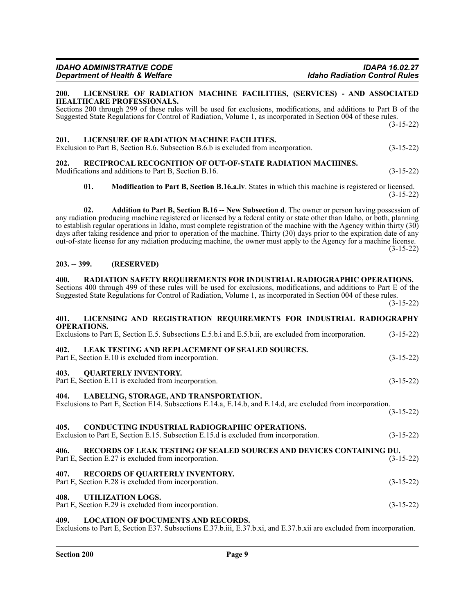### <span id="page-8-0"></span>**200. LICENSURE OF RADIATION MACHINE FACILITIES, (SERVICES) - AND ASSOCIATED HEALTHCARE PROFESSIONALS.**

Sections 200 through 299 of these rules will be used for exclusions, modifications, and additions to Part B of the Suggested State Regulations for Control of Radiation, Volume 1, as incorporated in Section 004 of these rules. (3-15-22)

### <span id="page-8-1"></span>**201. LICENSURE OF RADIATION MACHINE FACILITIES.**

| Exclusion to Part B, Section B.6. Subsection B.6.b is excluded from incorporation. | $(3-15-22)$ |
|------------------------------------------------------------------------------------|-------------|
|------------------------------------------------------------------------------------|-------------|

### <span id="page-8-2"></span>**202. RECIPROCAL RECOGNITION OF OUT-OF-STATE RADIATION MACHINES.** Modifications and additions to Part B, Section B.16. (3-15-22)

**01. Modification to Part B, Section B.16.a.iv**. States in which this machine is registered or licensed. (3-15-22)

**02. Addition to Part B, Section B.16 -- New Subsection d**. The owner or person having possession of any radiation producing machine registered or licensed by a federal entity or state other than Idaho, or both, planning to establish regular operations in Idaho, must complete registration of the machine with the Agency within thirty (30) days after taking residence and prior to operation of the machine. Thirty (30) days prior to the expiration date of any out-of-state license for any radiation producing machine, the owner must apply to the Agency for a machine license.  $(3-15-22)$ 

### <span id="page-8-3"></span>**203. -- 399. (RESERVED)**

### <span id="page-8-4"></span>**400. RADIATION SAFETY REQUIREMENTS FOR INDUSTRIAL RADIOGRAPHIC OPERATIONS.** Sections 400 through 499 of these rules will be used for exclusions, modifications, and additions to Part E of the Suggested State Regulations for Control of Radiation, Volume 1, as incorporated in Section 004 of these rules. (3-15-22)

# <span id="page-8-7"></span><span id="page-8-6"></span><span id="page-8-5"></span>**401. LICENSING AND REGISTRATION REQUIREMENTS FOR INDUSTRIAL RADIOGRAPHY OPERATIONS.** Exclusions to Part E, Section E.5. Subsections E.5.b.i and E.5.b.ii, are excluded from incorporation. (3-15-22) **402. LEAK TESTING AND REPLACEMENT OF SEALED SOURCES.** Part E, Section E.10 is excluded from incorporation. (3-15-22) **403. QUARTERLY INVENTORY.** Part E, Section E.11 is excluded from incorporation. (3-15-22) **404. LABELING, STORAGE, AND TRANSPORTATION.** Exclusions to Part E, Section E14. Subsections E.14.a, E.14.b, and E.14.d, are excluded from incorporation. (3-15-22) **405. CONDUCTING INDUSTRIAL RADIOGRAPHIC OPERATIONS.** Exclusion to Part E, Section E.15. Subsection E.15.d is excluded from incorporation. (3-15-22) **406. RECORDS OF LEAK TESTING OF SEALED SOURCES AND DEVICES CONTAINING DU.**

<span id="page-8-11"></span><span id="page-8-10"></span><span id="page-8-9"></span><span id="page-8-8"></span>

| Part E, Section E.27 is excluded from incorporation.                                         | $(3-15-22)$ |
|----------------------------------------------------------------------------------------------|-------------|
| 407. RECORDS OF QUARTERLY INVENTORY.<br>Part E, Section E.28 is excluded from incorporation. | $(3-15-22)$ |
| 408. UTILIZATION LOGS.<br>Part E, Section E.29 is excluded from incorporation.               | $(3-15-22)$ |

### <span id="page-8-13"></span><span id="page-8-12"></span>**409. LOCATION OF DOCUMENTS AND RECORDS.**

Exclusions to Part E, Section E37. Subsections E.37.b.iii, E.37.b.xi, and E.37.b.xii are excluded from incorporation.